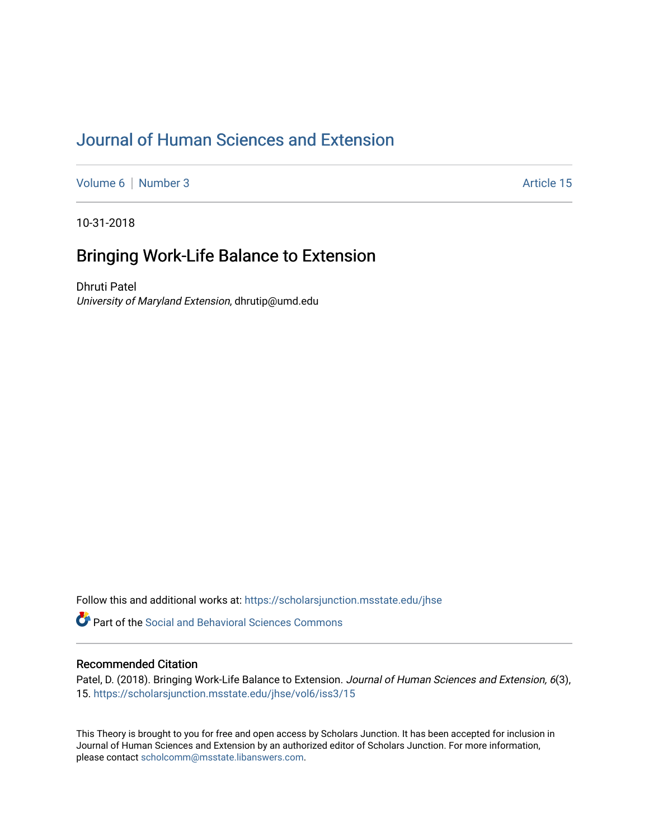# [Journal of Human Sciences and Extension](https://scholarsjunction.msstate.edu/jhse)

[Volume 6](https://scholarsjunction.msstate.edu/jhse/vol6) | [Number 3](https://scholarsjunction.msstate.edu/jhse/vol6/iss3) Article 15

10-31-2018

# Bringing Work-Life Balance to Extension

Dhruti Patel University of Maryland Extension, dhrutip@umd.edu

Follow this and additional works at: [https://scholarsjunction.msstate.edu/jhse](https://scholarsjunction.msstate.edu/jhse?utm_source=scholarsjunction.msstate.edu%2Fjhse%2Fvol6%2Fiss3%2F15&utm_medium=PDF&utm_campaign=PDFCoverPages)

**C** Part of the Social and Behavioral Sciences Commons

#### Recommended Citation

Patel, D. (2018). Bringing Work-Life Balance to Extension. Journal of Human Sciences and Extension, 6(3), 15. [https://scholarsjunction.msstate.edu/jhse/vol6/iss3/15](https://scholarsjunction.msstate.edu/jhse/vol6/iss3/15?utm_source=scholarsjunction.msstate.edu%2Fjhse%2Fvol6%2Fiss3%2F15&utm_medium=PDF&utm_campaign=PDFCoverPages)

This Theory is brought to you for free and open access by Scholars Junction. It has been accepted for inclusion in Journal of Human Sciences and Extension by an authorized editor of Scholars Junction. For more information, please contact [scholcomm@msstate.libanswers.com.](mailto:scholcomm@msstate.libanswers.com)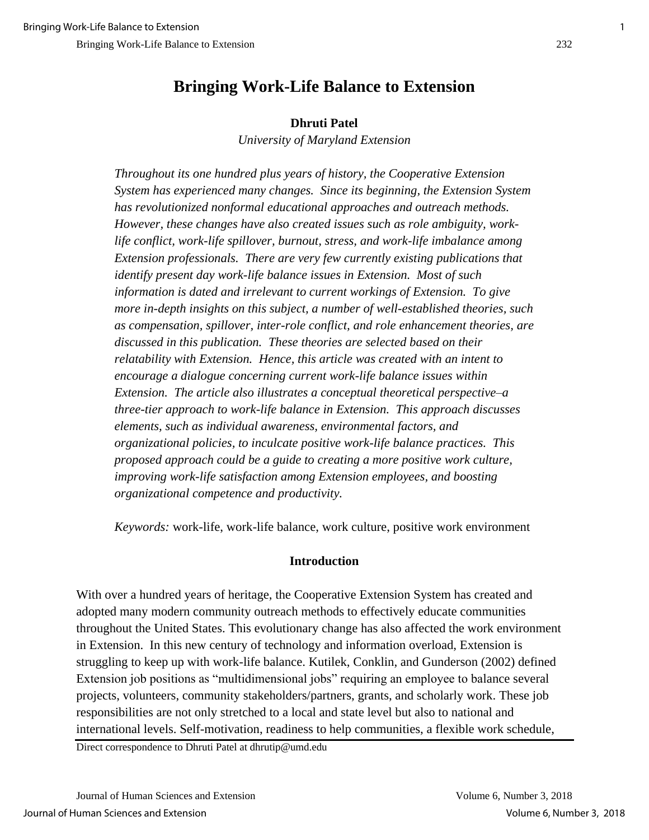## **Dhruti Patel**

*University of Maryland Extension*

*Throughout its one hundred plus years of history, the Cooperative Extension System has experienced many changes. Since its beginning, the Extension System has revolutionized nonformal educational approaches and outreach methods. However, these changes have also created issues such as role ambiguity, worklife conflict, work-life spillover, burnout, stress, and work-life imbalance among Extension professionals. There are very few currently existing publications that identify present day work-life balance issues in Extension. Most of such information is dated and irrelevant to current workings of Extension. To give more in-depth insights on this subject, a number of well-established theories, such as compensation, spillover, inter-role conflict, and role enhancement theories, are discussed in this publication. These theories are selected based on their relatability with Extension. Hence, this article was created with an intent to encourage a dialogue concerning current work-life balance issues within Extension. The article also illustrates a conceptual theoretical perspective–a three-tier approach to work-life balance in Extension. This approach discusses elements, such as individual awareness, environmental factors, and organizational policies, to inculcate positive work-life balance practices. This proposed approach could be a guide to creating a more positive work culture, improving work-life satisfaction among Extension employees, and boosting organizational competence and productivity.*

*Keywords:* work-life, work-life balance, work culture, positive work environment

## **Introduction**

With over a hundred years of heritage, the Cooperative Extension System has created and adopted many modern community outreach methods to effectively educate communities throughout the United States. This evolutionary change has also affected the work environment in Extension. In this new century of technology and information overload, Extension is struggling to keep up with work-life balance. Kutilek, Conklin, and Gunderson (2002) defined Extension job positions as "multidimensional jobs" requiring an employee to balance several projects, volunteers, community stakeholders/partners, grants, and scholarly work. These job responsibilities are not only stretched to a local and state level but also to national and international levels. Self-motivation, readiness to help communities, a flexible work schedule,

Direct correspondence to Dhruti Patel at dhrutip@umd.edu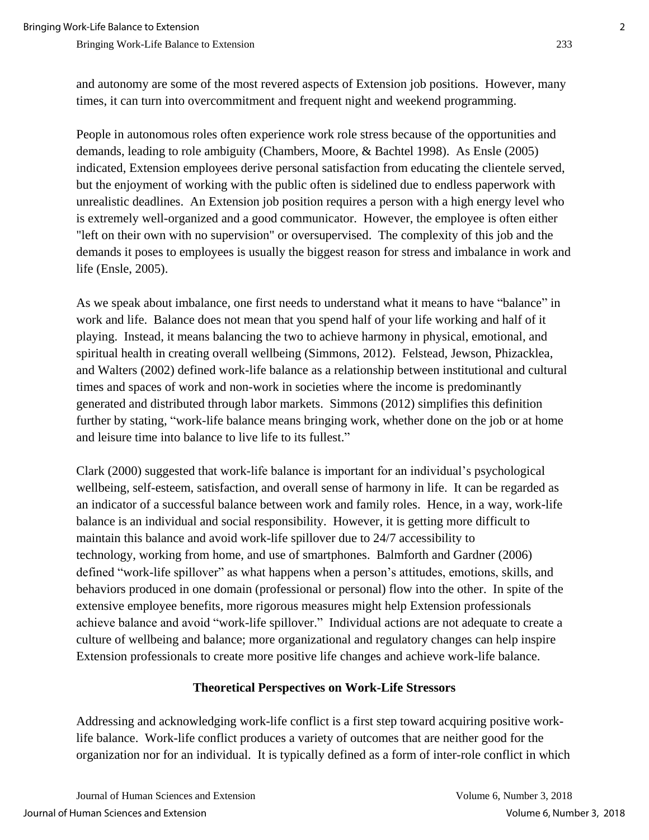and autonomy are some of the most revered aspects of Extension job positions. However, many times, it can turn into overcommitment and frequent night and weekend programming.

People in autonomous roles often experience work role stress because of the opportunities and demands, leading to role ambiguity (Chambers, Moore, & Bachtel 1998). As Ensle (2005) indicated, Extension employees derive personal satisfaction from educating the clientele served, but the enjoyment of working with the public often is sidelined due to endless paperwork with unrealistic deadlines. An Extension job position requires a person with a high energy level who is extremely well-organized and a good communicator. However, the employee is often either "left on their own with no supervision" or oversupervised. The complexity of this job and the demands it poses to employees is usually the biggest reason for stress and imbalance in work and life (Ensle, 2005).

As we speak about imbalance, one first needs to understand what it means to have "balance" in work and life. Balance does not mean that you spend half of your life working and half of it playing. Instead, it means balancing the two to achieve harmony in physical, emotional, and spiritual health in creating overall wellbeing (Simmons, 2012). Felstead, Jewson, Phizacklea, and Walters (2002) defined work-life balance as a relationship between institutional and cultural times and spaces of work and non-work in societies where the income is predominantly generated and distributed through labor markets. Simmons (2012) simplifies this definition further by stating, "work-life balance means bringing work, whether done on the job or at home and leisure time into balance to live life to its fullest."

Clark (2000) suggested that work-life balance is important for an individual's psychological wellbeing, self-esteem, satisfaction, and overall sense of harmony in life. It can be regarded as an indicator of a successful balance between work and family roles. Hence, in a way, work-life balance is an individual and social responsibility. However, it is getting more difficult to maintain this balance and avoid work-life spillover due to 24/7 accessibility to technology, working from home, and use of smartphones. Balmforth and Gardner (2006) defined "work-life spillover" as what happens when a person's attitudes, emotions, skills, and behaviors produced in one domain (professional or personal) flow into the other. In spite of the extensive employee benefits, more rigorous measures might help Extension professionals achieve balance and avoid "work-life spillover." Individual actions are not adequate to create a culture of wellbeing and balance; more organizational and regulatory changes can help inspire Extension professionals to create more positive life changes and achieve work-life balance.

#### **Theoretical Perspectives on Work-Life Stressors**

Addressing and acknowledging work-life conflict is a first step toward acquiring positive worklife balance. Work-life conflict produces a variety of outcomes that are neither good for the organization nor for an individual. It is typically defined as a form of inter-role conflict in which

Journal of Human Sciences and Extension Volume 6, Number 3, 2018 Journal of Human Sciences and Extension Volume 6, Number 3, 2018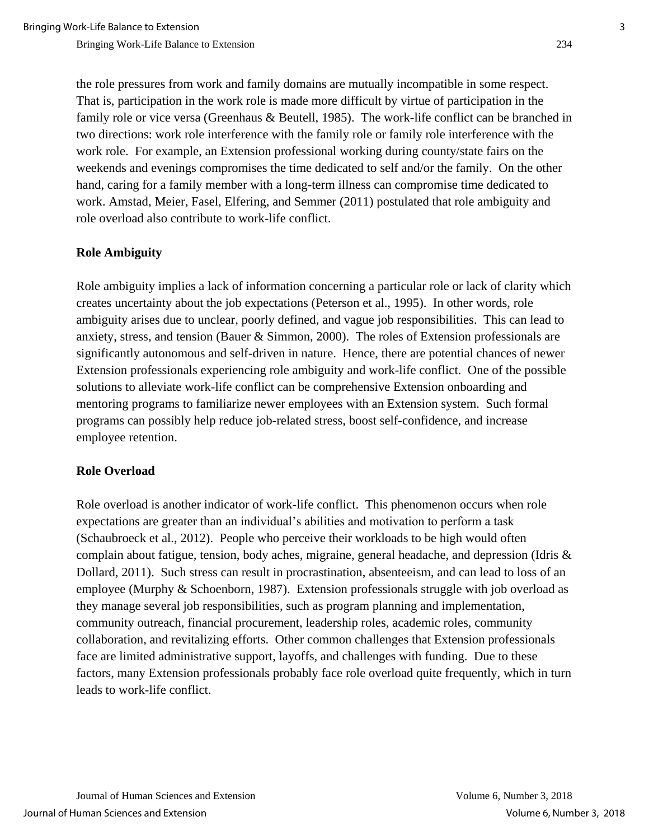the role pressures from work and family domains are mutually incompatible in some respect. That is, participation in the work role is made more difficult by virtue of participation in the family role or vice versa (Greenhaus & Beutell, 1985). The work-life conflict can be branched in two directions: work role interference with the family role or family role interference with the work role. For example, an Extension professional working during county/state fairs on the weekends and evenings compromises the time dedicated to self and/or the family. On the other hand, caring for a family member with a long-term illness can compromise time dedicated to work. Amstad, Meier, Fasel, Elfering, and Semmer (2011) postulated that role ambiguity and role overload also contribute to work-life conflict.

### **Role Ambiguity**

Role ambiguity implies a lack of information concerning a particular role or lack of clarity which creates uncertainty about the job expectations (Peterson et al., 1995). In other words, role ambiguity arises due to unclear, poorly defined, and vague job responsibilities. This can lead to anxiety, stress, and tension (Bauer & Simmon, 2000). The roles of Extension professionals are significantly autonomous and self-driven in nature. Hence, there are potential chances of newer Extension professionals experiencing role ambiguity and work-life conflict. One of the possible solutions to alleviate work-life conflict can be comprehensive Extension onboarding and mentoring programs to familiarize newer employees with an Extension system. Such formal programs can possibly help reduce job-related stress, boost self-confidence, and increase employee retention.

#### **Role Overload**

Role overload is another indicator of work-life conflict. This phenomenon occurs when role expectations are greater than an individual's abilities and motivation to perform a task (Schaubroeck et al., 2012). People who perceive their workloads to be high would often complain about fatigue, tension, body aches, migraine, general headache, and depression (Idris & Dollard, 2011). Such stress can result in procrastination, absenteeism, and can lead to loss of an employee (Murphy & Schoenborn, 1987). Extension professionals struggle with job overload as they manage several job responsibilities, such as program planning and implementation, community outreach, financial procurement, leadership roles, academic roles, community collaboration, and revitalizing efforts. Other common challenges that Extension professionals face are limited administrative support, layoffs, and challenges with funding. Due to these factors, many Extension professionals probably face role overload quite frequently, which in turn leads to work-life conflict.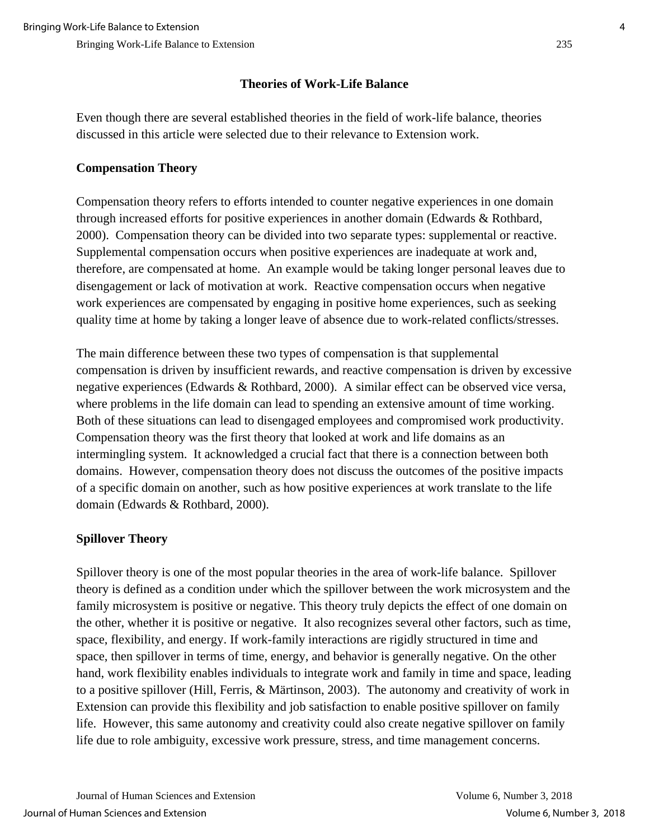## **Theories of Work-Life Balance**

Even though there are several established theories in the field of work-life balance, theories discussed in this article were selected due to their relevance to Extension work.

## **Compensation Theory**

Compensation theory refers to efforts intended to counter negative experiences in one domain through increased efforts for positive experiences in another domain (Edwards & Rothbard, 2000). Compensation theory can be divided into two separate types: supplemental or reactive. Supplemental compensation occurs when positive experiences are inadequate at work and, therefore, are compensated at home. An example would be taking longer personal leaves due to disengagement or lack of motivation at work. Reactive compensation occurs when negative work experiences are compensated by engaging in positive home experiences, such as seeking quality time at home by taking a longer leave of absence due to work-related conflicts/stresses.

The main difference between these two types of compensation is that supplemental compensation is driven by insufficient rewards, and reactive compensation is driven by excessive negative experiences (Edwards & Rothbard, 2000). A similar effect can be observed vice versa, where problems in the life domain can lead to spending an extensive amount of time working. Both of these situations can lead to disengaged employees and compromised work productivity. Compensation theory was the first theory that looked at work and life domains as an intermingling system. It acknowledged a crucial fact that there is a connection between both domains. However, compensation theory does not discuss the outcomes of the positive impacts of a specific domain on another, such as how positive experiences at work translate to the life domain (Edwards & Rothbard, 2000).

## **Spillover Theory**

Spillover theory is one of the most popular theories in the area of work-life balance. Spillover theory is defined as a condition under which the spillover between the work microsystem and the family microsystem is positive or negative. This theory truly depicts the effect of one domain on the other, whether it is positive or negative. It also recognizes several other factors, such as time, space, flexibility, and energy. If work-family interactions are rigidly structured in time and space, then spillover in terms of time, energy, and behavior is generally negative. On the other hand, work flexibility enables individuals to integrate work and family in time and space, leading to a positive spillover (Hill, Ferris, & Märtinson, 2003). The autonomy and creativity of work in Extension can provide this flexibility and job satisfaction to enable positive spillover on family life. However, this same autonomy and creativity could also create negative spillover on family life due to role ambiguity, excessive work pressure, stress, and time management concerns.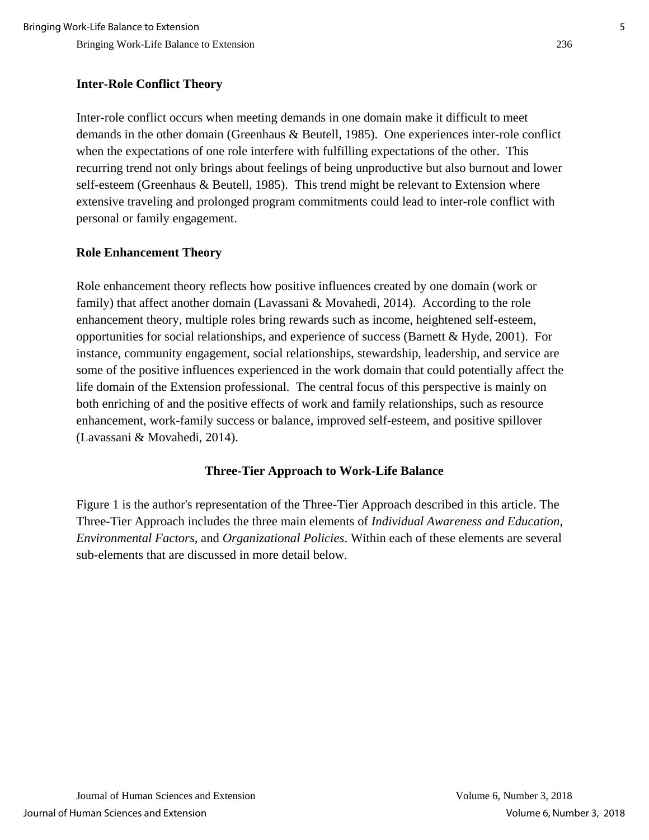## **Inter-Role Conflict Theory**

Inter-role conflict occurs when meeting demands in one domain make it difficult to meet demands in the other domain (Greenhaus & Beutell, 1985). One experiences inter-role conflict when the expectations of one role interfere with fulfilling expectations of the other. This recurring trend not only brings about feelings of being unproductive but also burnout and lower self-esteem (Greenhaus & Beutell, 1985). This trend might be relevant to Extension where extensive traveling and prolonged program commitments could lead to inter-role conflict with personal or family engagement.

## **Role Enhancement Theory**

Role enhancement theory reflects how positive influences created by one domain (work or family) that affect another domain (Lavassani & Movahedi, 2014). According to the role enhancement theory, multiple roles bring rewards such as income, heightened self-esteem, opportunities for social relationships, and experience of success (Barnett & Hyde, 2001). For instance, community engagement, social relationships, stewardship, leadership, and service are some of the positive influences experienced in the work domain that could potentially affect the life domain of the Extension professional. The central focus of this perspective is mainly on both enriching of and the positive effects of work and family relationships, such as resource enhancement, work-family success or balance, improved self-esteem, and positive spillover (Lavassani & Movahedi, 2014).

## **Three-Tier Approach to Work-Life Balance**

Figure 1 is the author's representation of the Three-Tier Approach described in this article. The Three-Tier Approach includes the three main elements of *Individual Awareness and Education*, *Environmental Factors*, and *Organizational Policies*. Within each of these elements are several sub-elements that are discussed in more detail below.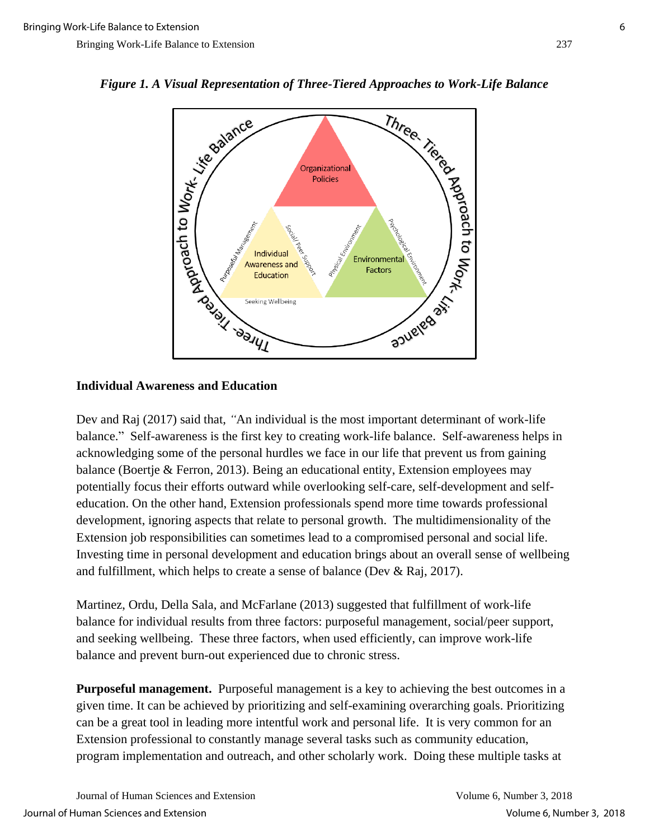

#### **Individual Awareness and Education**

Dev and Raj (2017) said that, *"*An individual is the most important determinant of work-life balance." Self-awareness is the first key to creating work-life balance. Self-awareness helps in acknowledging some of the personal hurdles we face in our life that prevent us from gaining balance (Boertje & Ferron, 2013). Being an educational entity, Extension employees may potentially focus their efforts outward while overlooking self-care, self-development and selfeducation. On the other hand, Extension professionals spend more time towards professional development, ignoring aspects that relate to personal growth. The multidimensionality of the Extension job responsibilities can sometimes lead to a compromised personal and social life. Investing time in personal development and education brings about an overall sense of wellbeing and fulfillment, which helps to create a sense of balance (Dev & Raj, 2017).

Martinez, Ordu, Della Sala, and McFarlane (2013) suggested that fulfillment of work-life balance for individual results from three factors: purposeful management, social/peer support, and seeking wellbeing. These three factors, when used efficiently, can improve work-life balance and prevent burn-out experienced due to chronic stress.

**Purposeful management.** Purposeful management is a key to achieving the best outcomes in a given time. It can be achieved by prioritizing and self-examining overarching goals. Prioritizing can be a great tool in leading more intentful work and personal life. It is very common for an Extension professional to constantly manage several tasks such as community education, program implementation and outreach, and other scholarly work. Doing these multiple tasks at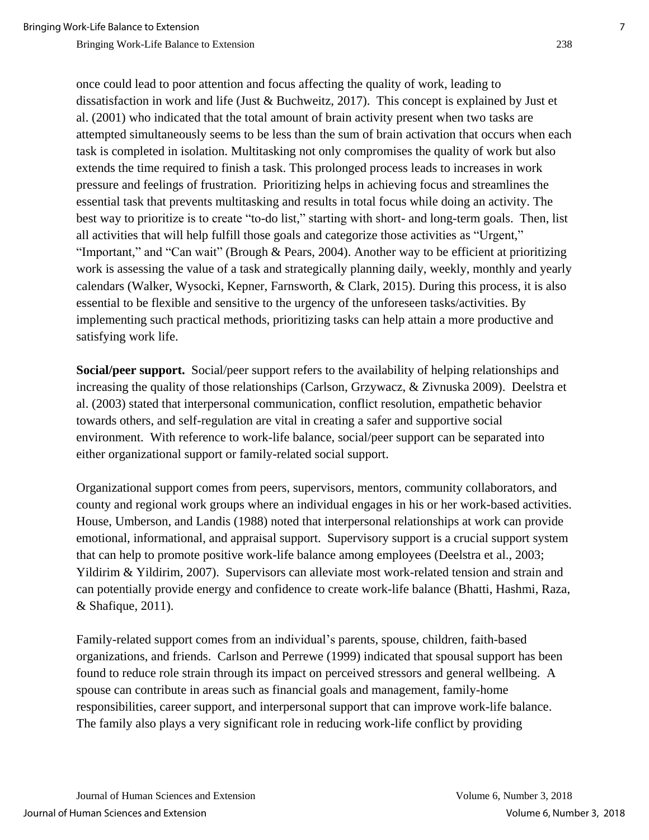once could lead to poor attention and focus affecting the quality of work, leading to dissatisfaction in work and life (Just & Buchweitz, 2017). This concept is explained by Just et al. (2001) who indicated that the total amount of brain activity present when two tasks are attempted simultaneously seems to be less than the sum of brain activation that occurs when each task is completed in isolation. Multitasking not only compromises the quality of work but also extends the time required to finish a task. This prolonged process leads to increases in work pressure and feelings of frustration. Prioritizing helps in achieving focus and streamlines the essential task that prevents multitasking and results in total focus while doing an activity. The best way to prioritize is to create "to-do list," starting with short- and long-term goals. Then, list all activities that will help fulfill those goals and categorize those activities as "Urgent," "Important," and "Can wait" (Brough & Pears, 2004). Another way to be efficient at prioritizing work is assessing the value of a task and strategically planning daily, weekly, monthly and yearly calendars (Walker, Wysocki, Kepner, Farnsworth, & Clark, 2015). During this process, it is also essential to be flexible and sensitive to the urgency of the unforeseen tasks/activities. By implementing such practical methods, prioritizing tasks can help attain a more productive and satisfying work life.

**Social/peer support.** Social/peer support refers to the availability of helping relationships and increasing the quality of those relationships (Carlson, Grzywacz, & Zivnuska 2009). Deelstra et al. (2003) stated that interpersonal communication, conflict resolution, empathetic behavior towards others, and self-regulation are vital in creating a safer and supportive social environment. With reference to work-life balance, social/peer support can be separated into either organizational support or family-related social support.

Organizational support comes from peers, supervisors, mentors, community collaborators, and county and regional work groups where an individual engages in his or her work-based activities. House, Umberson, and Landis (1988) noted that interpersonal relationships at work can provide emotional, informational, and appraisal support. Supervisory support is a crucial support system that can help to promote positive work-life balance among employees (Deelstra et al., 2003; Yildirim & Yildirim, 2007). Supervisors can alleviate most work-related tension and strain and can potentially provide energy and confidence to create work-life balance (Bhatti, Hashmi, Raza, & Shafique, 2011).

Family-related support comes from an individual's parents, spouse, children, faith-based organizations, and friends. Carlson and Perrewe (1999) indicated that spousal support has been found to reduce role strain through its impact on perceived stressors and general wellbeing. A spouse can contribute in areas such as financial goals and management, family-home responsibilities, career support, and interpersonal support that can improve work-life balance. The family also plays a very significant role in reducing work-life conflict by providing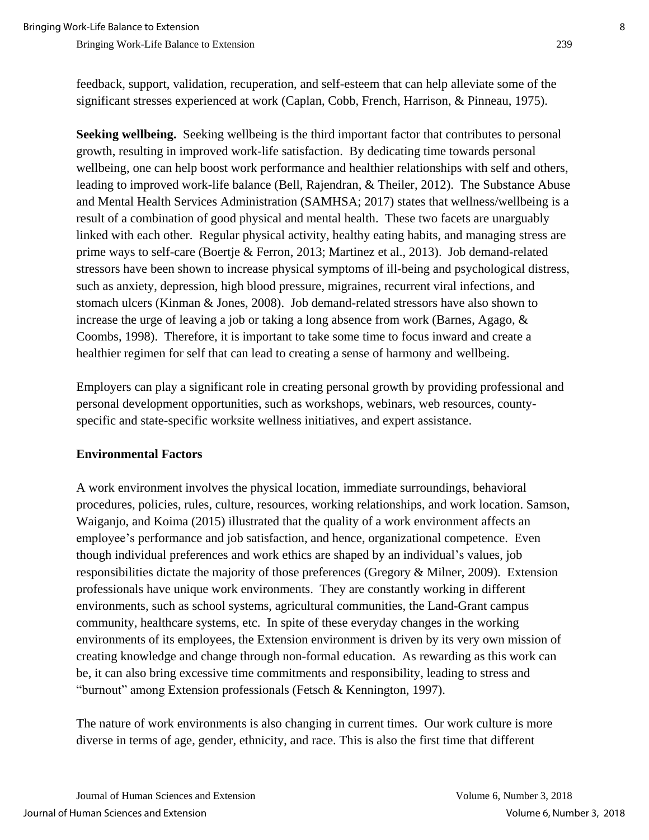**Seeking wellbeing.** Seeking wellbeing is the third important factor that contributes to personal growth, resulting in improved work-life satisfaction. By dedicating time towards personal wellbeing, one can help boost work performance and healthier relationships with self and others, leading to improved work-life balance (Bell, Rajendran, & Theiler, 2012). The Substance Abuse and Mental Health Services Administration (SAMHSA; 2017) states that wellness/wellbeing is a result of a combination of good physical and mental health. These two facets are unarguably linked with each other. Regular physical activity, healthy eating habits, and managing stress are prime ways to self-care (Boertje & Ferron, 2013; Martinez et al., 2013). Job demand-related stressors have been shown to increase physical symptoms of ill-being and psychological distress, such as anxiety, depression, high blood pressure, migraines, recurrent viral infections, and stomach ulcers (Kinman & Jones, 2008). Job demand-related stressors have also shown to increase the urge of leaving a job or taking a long absence from work (Barnes, Agago, & Coombs, 1998). Therefore, it is important to take some time to focus inward and create a healthier regimen for self that can lead to creating a sense of harmony and wellbeing.

Employers can play a significant role in creating personal growth by providing professional and personal development opportunities, such as workshops, webinars, web resources, countyspecific and state-specific worksite wellness initiatives, and expert assistance.

#### **Environmental Factors**

A work environment involves the physical location, immediate surroundings, behavioral procedures, policies, rules, culture, resources, working relationships, and work location. Samson, Waiganjo, and Koima (2015) illustrated that the quality of a work environment affects an employee's performance and job satisfaction, and hence, organizational competence. Even though individual preferences and work ethics are shaped by an individual's values, job responsibilities dictate the majority of those preferences (Gregory & Milner, 2009). Extension professionals have unique work environments. They are constantly working in different environments, such as school systems, agricultural communities, the Land-Grant campus community, healthcare systems, etc. In spite of these everyday changes in the working environments of its employees, the Extension environment is driven by its very own mission of creating knowledge and change through non-formal education. As rewarding as this work can be, it can also bring excessive time commitments and responsibility, leading to stress and "burnout" among Extension professionals (Fetsch & Kennington, 1997).

The nature of work environments is also changing in current times. Our work culture is more diverse in terms of age, gender, ethnicity, and race. This is also the first time that different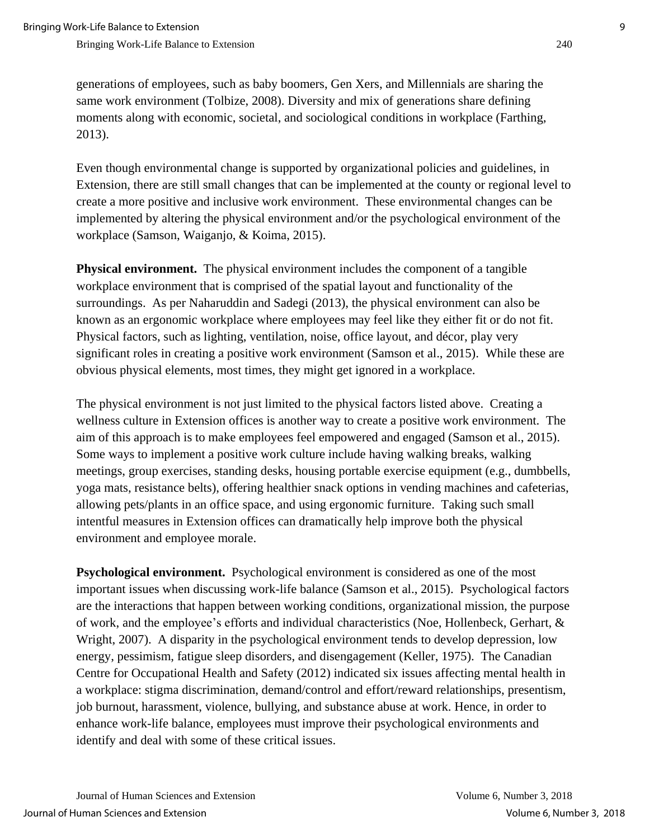generations of employees, such as baby boomers, Gen Xers, and Millennials are sharing the same work environment (Tolbize, 2008). Diversity and mix of generations share defining moments along with economic, societal, and sociological conditions in workplace (Farthing, 2013).

Even though environmental change is supported by organizational policies and guidelines, in Extension, there are still small changes that can be implemented at the county or regional level to create a more positive and inclusive work environment. These environmental changes can be implemented by altering the physical environment and/or the psychological environment of the workplace (Samson, Waiganjo, & Koima, 2015).

**Physical environment.** The physical environment includes the component of a tangible workplace environment that is comprised of the spatial layout and functionality of the surroundings. As per Naharuddin and Sadegi (2013), the physical environment can also be known as an ergonomic workplace where employees may feel like they either fit or do not fit. Physical factors, such as lighting, ventilation, noise, office layout, and décor, play very significant roles in creating a positive work environment (Samson et al., 2015). While these are obvious physical elements, most times, they might get ignored in a workplace.

The physical environment is not just limited to the physical factors listed above. Creating a wellness culture in Extension offices is another way to create a positive work environment. The aim of this approach is to make employees feel empowered and engaged (Samson et al., 2015). Some ways to implement a positive work culture include having walking breaks, walking meetings, group exercises, standing desks, housing portable exercise equipment (e.g., dumbbells, yoga mats, resistance belts), offering healthier snack options in vending machines and cafeterias, allowing pets/plants in an office space, and using ergonomic furniture. Taking such small intentful measures in Extension offices can dramatically help improve both the physical environment and employee morale.

**Psychological environment.** Psychological environment is considered as one of the most important issues when discussing work-life balance (Samson et al., 2015). Psychological factors are the interactions that happen between working conditions, organizational mission, the purpose of work, and the employee's efforts and individual characteristics (Noe, Hollenbeck, Gerhart, & Wright, 2007). A disparity in the psychological environment tends to develop depression, low energy, pessimism, fatigue sleep disorders, and disengagement (Keller, 1975). The Canadian Centre for Occupational Health and Safety (2012) indicated six issues affecting mental health in a workplace: stigma discrimination, demand/control and effort/reward relationships, presentism, job burnout, harassment, violence, bullying, and substance abuse at work. Hence, in order to enhance work-life balance, employees must improve their psychological environments and identify and deal with some of these critical issues.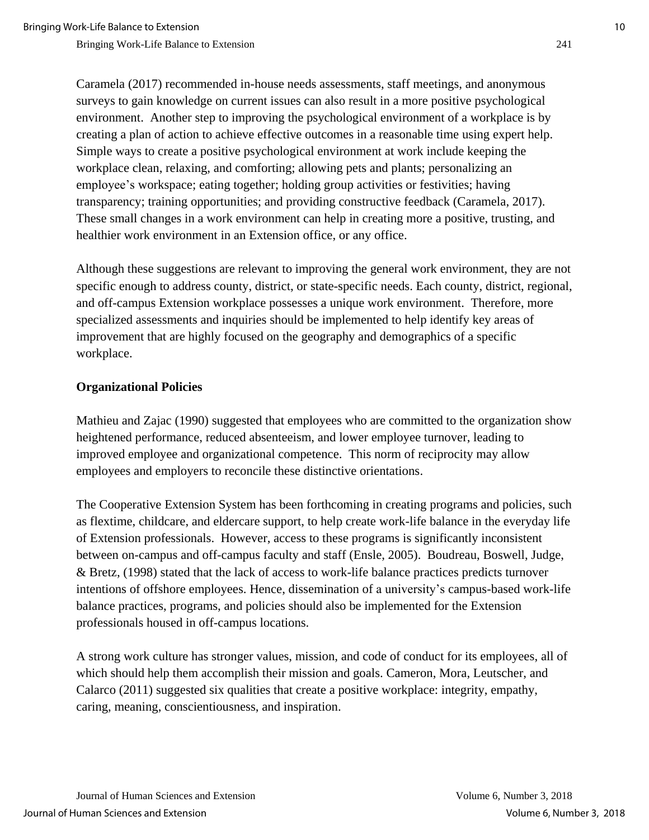Caramela (2017) recommended in-house needs assessments, staff meetings, and anonymous surveys to gain knowledge on current issues can also result in a more positive psychological environment. Another step to improving the psychological environment of a workplace is by creating a plan of action to achieve effective outcomes in a reasonable time using expert help. Simple ways to create a positive psychological environment at work include keeping the workplace clean, relaxing, and comforting; allowing pets and plants; personalizing an employee's workspace; eating together; holding group activities or festivities; having transparency; training opportunities; and providing constructive feedback (Caramela, 2017). These small changes in a work environment can help in creating more a positive, trusting, and healthier work environment in an Extension office, or any office.

Although these suggestions are relevant to improving the general work environment, they are not specific enough to address county, district, or state-specific needs. Each county, district, regional, and off-campus Extension workplace possesses a unique work environment. Therefore, more specialized assessments and inquiries should be implemented to help identify key areas of improvement that are highly focused on the geography and demographics of a specific workplace.

#### **Organizational Policies**

Mathieu and Zajac (1990) suggested that employees who are committed to the organization show heightened performance, reduced absenteeism, and lower employee turnover, leading to improved employee and organizational competence. This norm of reciprocity may allow employees and employers to reconcile these distinctive orientations.

The Cooperative Extension System has been forthcoming in creating programs and policies, such as flextime, childcare, and eldercare support, to help create work-life balance in the everyday life of Extension professionals. However, access to these programs is significantly inconsistent between on-campus and off-campus faculty and staff (Ensle, 2005). Boudreau, Boswell, Judge, & Bretz, (1998) stated that the lack of access to work-life balance practices predicts turnover intentions of offshore employees. Hence, dissemination of a university's campus-based work-life balance practices, programs, and policies should also be implemented for the Extension professionals housed in off-campus locations.

A strong work culture has stronger values, mission, and code of conduct for its employees, all of which should help them accomplish their mission and goals. Cameron, Mora, Leutscher, and Calarco (2011) suggested six qualities that create a positive workplace: integrity, empathy, caring, meaning, conscientiousness, and inspiration.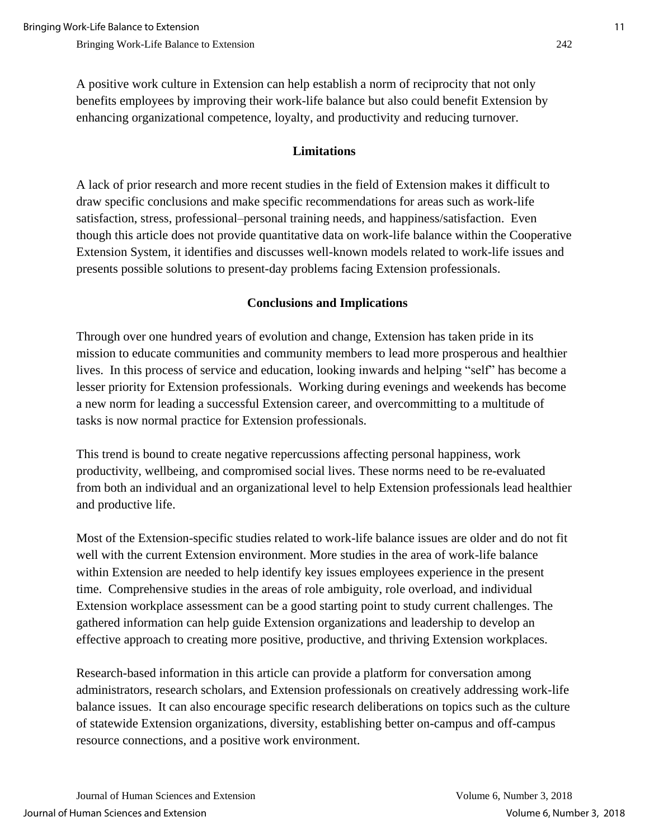A positive work culture in Extension can help establish a norm of reciprocity that not only benefits employees by improving their work-life balance but also could benefit Extension by enhancing organizational competence, loyalty, and productivity and reducing turnover.

#### **Limitations**

A lack of prior research and more recent studies in the field of Extension makes it difficult to draw specific conclusions and make specific recommendations for areas such as work-life satisfaction, stress, professional–personal training needs, and happiness/satisfaction. Even though this article does not provide quantitative data on work-life balance within the Cooperative Extension System, it identifies and discusses well-known models related to work-life issues and presents possible solutions to present-day problems facing Extension professionals.

#### **Conclusions and Implications**

Through over one hundred years of evolution and change, Extension has taken pride in its mission to educate communities and community members to lead more prosperous and healthier lives. In this process of service and education, looking inwards and helping "self" has become a lesser priority for Extension professionals. Working during evenings and weekends has become a new norm for leading a successful Extension career, and overcommitting to a multitude of tasks is now normal practice for Extension professionals.

This trend is bound to create negative repercussions affecting personal happiness, work productivity, wellbeing, and compromised social lives. These norms need to be re-evaluated from both an individual and an organizational level to help Extension professionals lead healthier and productive life.

Most of the Extension-specific studies related to work-life balance issues are older and do not fit well with the current Extension environment. More studies in the area of work-life balance within Extension are needed to help identify key issues employees experience in the present time. Comprehensive studies in the areas of role ambiguity, role overload, and individual Extension workplace assessment can be a good starting point to study current challenges. The gathered information can help guide Extension organizations and leadership to develop an effective approach to creating more positive, productive, and thriving Extension workplaces.

Research-based information in this article can provide a platform for conversation among administrators, research scholars, and Extension professionals on creatively addressing work-life balance issues. It can also encourage specific research deliberations on topics such as the culture of statewide Extension organizations, diversity, establishing better on-campus and off-campus resource connections, and a positive work environment.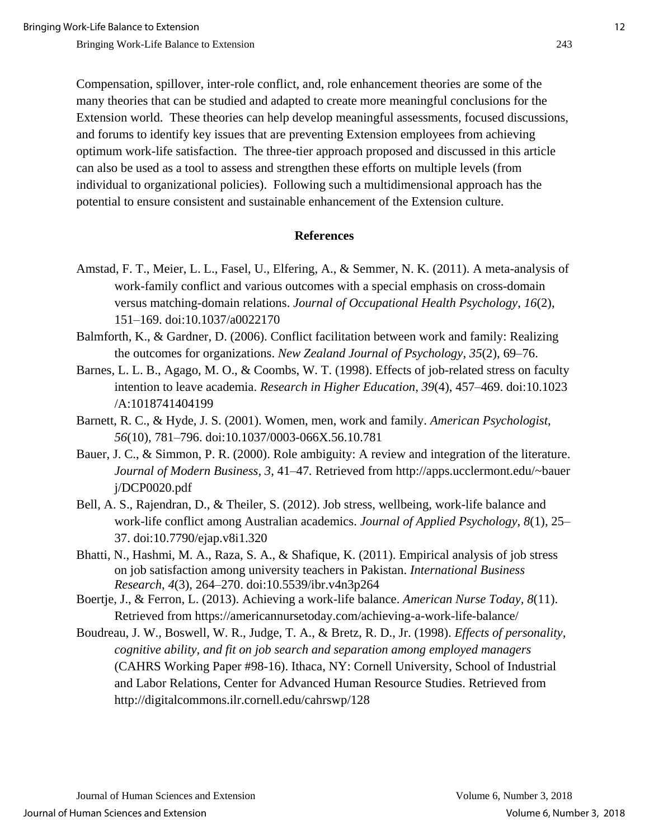Compensation, spillover, inter-role conflict, and, role enhancement theories are some of the many theories that can be studied and adapted to create more meaningful conclusions for the Extension world. These theories can help develop meaningful assessments, focused discussions, and forums to identify key issues that are preventing Extension employees from achieving optimum work-life satisfaction. The three-tier approach proposed and discussed in this article can also be used as a tool to assess and strengthen these efforts on multiple levels (from individual to organizational policies). Following such a multidimensional approach has the potential to ensure consistent and sustainable enhancement of the Extension culture.

#### **References**

- Amstad, F. T., Meier, L. L., Fasel, U., Elfering, A., & Semmer, N. K. (2011). A meta-analysis of work-family conflict and various outcomes with a special emphasis on cross-domain versus matching-domain relations. *Journal of Occupational Health Psychology*, *16*(2), 151–169. doi:10.1037/a0022170
- Balmforth, K., & Gardner, D. (2006). Conflict facilitation between work and family: Realizing the outcomes for organizations. *New Zealand Journal of Psychology, 35*(2), 69–76.
- Barnes, L. L. B., Agago, M. O., & Coombs, W. T. (1998). Effects of job-related stress on faculty intention to leave academia. *Research in Higher Education*, *39*(4), 457–469. doi:10.1023 /A:1018741404199
- Barnett, R. C., & Hyde, J. S. (2001). Women, men, work and family. *American Psychologist*, *56*(10), 781–796. doi:10.1037/0003-066X.56.10.781
- Bauer, J. C., & Simmon, P. R. (2000). Role ambiguity: A review and integration of the literature. *Journal of Modern Business, 3*, 41–47*.* Retrieved from http://apps.ucclermont.edu/~bauer j/DCP0020.pdf
- Bell, A. S., Rajendran, D., & Theiler, S. (2012). Job stress, wellbeing, work-life balance and work-life conflict among Australian academics. *Journal of Applied Psychology*, *8*(1), 25– 37. doi:10.7790/ejap.v8i1.320
- Bhatti, N., Hashmi, M. A., Raza, S. A., & Shafique, K. (2011). Empirical analysis of job stress on job satisfaction among university teachers in Pakistan. *International Business Research*, *4*(3), 264–270. doi:10.5539/ibr.v4n3p264
- Boertje, J., & Ferron, L. (2013). Achieving a work-life balance. *American Nurse Today, 8*(11). Retrieved from<https://americannursetoday.com/achieving-a-work-life-balance/>
- Boudreau, J. W., Boswell, W. R., Judge, T. A., & Bretz, R. D., Jr. (1998). *Effects of personality, cognitive ability, and fit on job search and separation among employed managers*  (CAHRS Working Paper #98-16). Ithaca, NY: Cornell University, School of Industrial and Labor Relations, Center for Advanced Human Resource Studies. Retrieved from http://digitalcommons.ilr.cornell.edu/cahrswp/128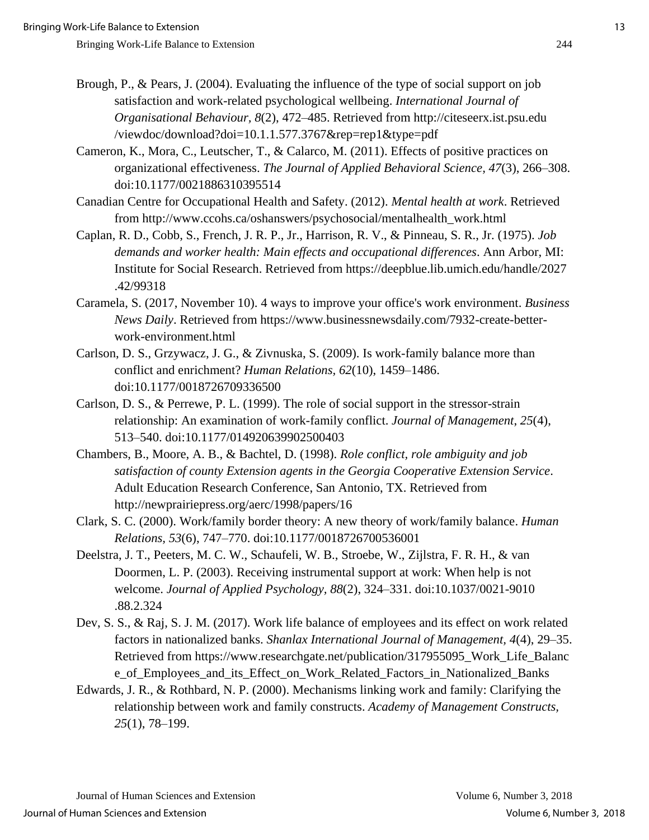- Brough, P., & Pears, J. (2004). Evaluating the influence of the type of social support on job satisfaction and work-related psychological wellbeing. *International Journal of Organisational Behaviour, 8*(2), 472–485. Retrieved from http://citeseerx.ist.psu.edu /viewdoc/download?doi=10.1.1.577.3767&rep=rep1&type=pdf
- Cameron, K., Mora, C., Leutscher, T., & Calarco, M. (2011). Effects of positive practices on organizational effectiveness. *The Journal of Applied Behavioral Science, 47*(3), 266–308. doi:10.1177/0021886310395514
- Canadian Centre for Occupational Health and Safety. (2012). *Mental health at work*. Retrieved from [http://www.ccohs.ca/oshanswers/psychosocial/mentalhealth\\_work.html](http://www.ccohs.ca/oshanswers/psychosocial/mentalhealth_work.html)
- Caplan, R. D., Cobb, S., French, J. R. P., Jr., Harrison, R. V., & Pinneau, S. R., Jr. (1975). *Job demands and worker health: Main effects and occupational differences*. Ann Arbor, MI: Institute for Social Research. Retrieved from https://deepblue.lib.umich.edu/handle/2027 .42/99318
- Caramela, S. (2017, November 10). 4 ways to improve your office's work environment. *Business News Daily*. Retrieved from https://www.businessnewsdaily.com/7932-create-betterwork-environment.html
- Carlson, D. S., Grzywacz, J. G., & Zivnuska, S. (2009). Is work-family balance more than conflict and enrichment? *Human Relations, 62*(10), 1459–1486. doi:10.1177/0018726709336500
- Carlson, D. S., & Perrewe, P. L. (1999). The role of social support in the stressor-strain relationship: An examination of work-family conflict. *Journal of Management*, *25*(4), 513–540. doi:10.1177/014920639902500403
- Chambers, B., Moore, A. B., & Bachtel, D. (1998). *Role conflict, role ambiguity and job satisfaction of county Extension agents in the Georgia Cooperative Extension Service*. Adult Education Research Conference, San Antonio, TX. Retrieved from http://newprairiepress.org/aerc/1998/papers/16
- Clark, S. C. (2000). Work/family border theory: A new theory of work/family balance. *Human Relations, 53*(6), 747–770. doi:10.1177/0018726700536001
- Deelstra, J. T., Peeters, M. C. W., Schaufeli, W. B., Stroebe, W., Zijlstra, F. R. H., & van Doormen, L. P. (2003). Receiving instrumental support at work: When help is not welcome. *Journal of Applied Psychology, 88*(2), 324–331. doi:10.1037/0021-9010 .88.2.324
- Dev, S. S., & Raj, S. J. M. (2017). Work life balance of employees and its effect on work related factors in nationalized banks. *Shanlax International Journal of Management, 4*(4), 29–35. Retrieved from https://www.researchgate.net/publication/317955095\_Work\_Life\_Balanc e\_of\_Employees\_and\_its\_Effect\_on\_Work\_Related\_Factors\_in\_Nationalized\_Banks
- Edwards, J. R., & Rothbard, N. P. (2000). Mechanisms linking work and family: Clarifying the relationship between work and family constructs. *Academy of Management Constructs, 25*(1), 78–199.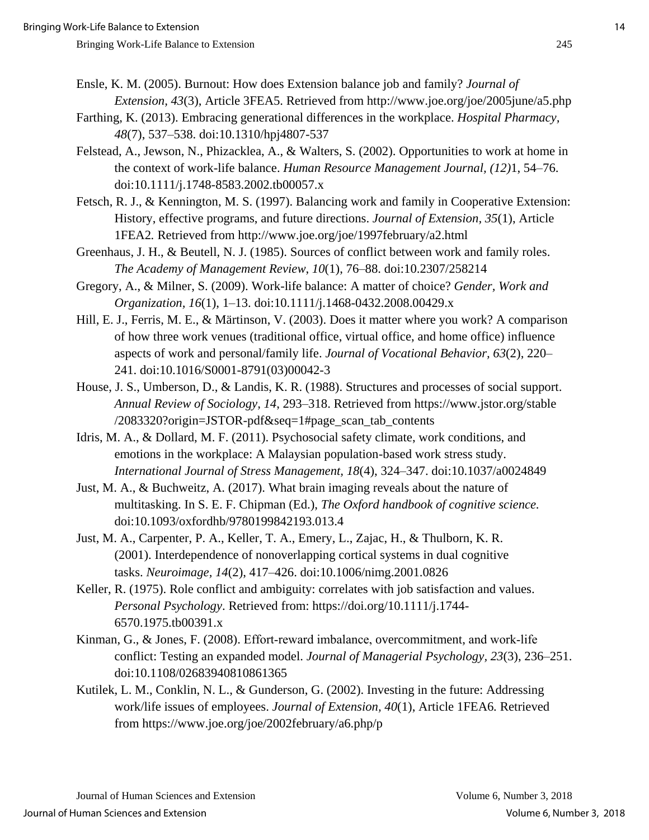- Ensle, K. M. (2005). Burnout: How does Extension balance job and family? *Journal of Extension, 43*(3), Article 3FEA5. Retrieved from http://www.joe.org/joe/2005june/a5.php
- Farthing, K. (2013). Embracing generational differences in the workplace. *Hospital Pharmacy, 48*(7), 537–538. doi:10.1310/hpj4807-537
- Felstead, A., Jewson, N., Phizacklea, A., & Walters, S. (2002). Opportunities to work at home in the context of work-life balance. *Human Resource Management Journal, (12)*1, 54–76. doi:10.1111/j.1748-8583.2002.tb00057.x
- Fetsch, R. J., & Kennington, M. S. (1997). Balancing work and family in Cooperative Extension: History, effective programs, and future directions. *Journal of Extension, 35*(1), Article 1FEA2*.* Retrieved from http://www.joe.org/joe/1997february/a2.html
- Greenhaus, J. H., & Beutell, N. J. (1985). Sources of conflict between work and family roles. *The Academy of Management Review*, *10*(1), 76–88. doi:10.2307/258214
- Gregory, A., & Milner, S. (2009). Work-life balance: A matter of choice? *Gender, Work and Organization, 16*(1), 1–13. doi:10.1111/j.1468-0432.2008.00429.x
- Hill, E. J., Ferris, M. E., & Märtinson, V. (2003). Does it matter where you work? A comparison of how three work venues (traditional office, virtual office, and home office) influence aspects of work and personal/family life. *Journal of Vocational Behavior, 63*(2), 220– 241. doi:10.1016/S0001-8791(03)00042-3
- House, J. S., Umberson, D., & Landis, K. R. (1988). Structures and processes of social support. *Annual Review of Sociology, 14*, 293–318. Retrieved from https://www.jstor.org/stable /2083320?origin=JSTOR-pdf&seq=1#page\_scan\_tab\_contents
- Idris, M. A., & Dollard, M. F. (2011). Psychosocial safety climate, work conditions, and emotions in the workplace: A Malaysian population-based work stress study. *International Journal of Stress Management, 18*(4), 324–347. doi:10.1037/a0024849
- Just, M. A., & Buchweitz, A. (2017). What brain imaging reveals about the nature of multitasking. In S. E. F. Chipman (Ed.), *The Oxford handbook of cognitive science.* doi:10.1093/oxfordhb/9780199842193.013.4
- Just, M. A., Carpenter, P. A., Keller, T. A., Emery, L., Zajac, H., & Thulborn, K. R. (2001). Interdependence of nonoverlapping cortical systems in dual cognitive tasks. *Neuroimage, 14*(2), 417–426. doi:10.1006/nimg.2001.0826
- Keller, R. (1975). Role conflict and ambiguity: correlates with job satisfaction and values. *Personal Psychology*. Retrieved from: https://doi.org/10.1111/j.1744- 6570.1975.tb00391.x
- Kinman, G., & Jones, F. (2008). Effort-reward imbalance, overcommitment, and work-life conflict: Testing an expanded model. *Journal of Managerial Psychology, 23*(3), 236–251. doi:10.1108/02683940810861365
- Kutilek, L. M., Conklin, N. L., & Gunderson, G. (2002). Investing in the future: Addressing work/life issues of employees. *Journal of Extension, 40*(1), Article 1FEA6*.* Retrieved from https://www.joe.org/joe/2002february/a6.php/p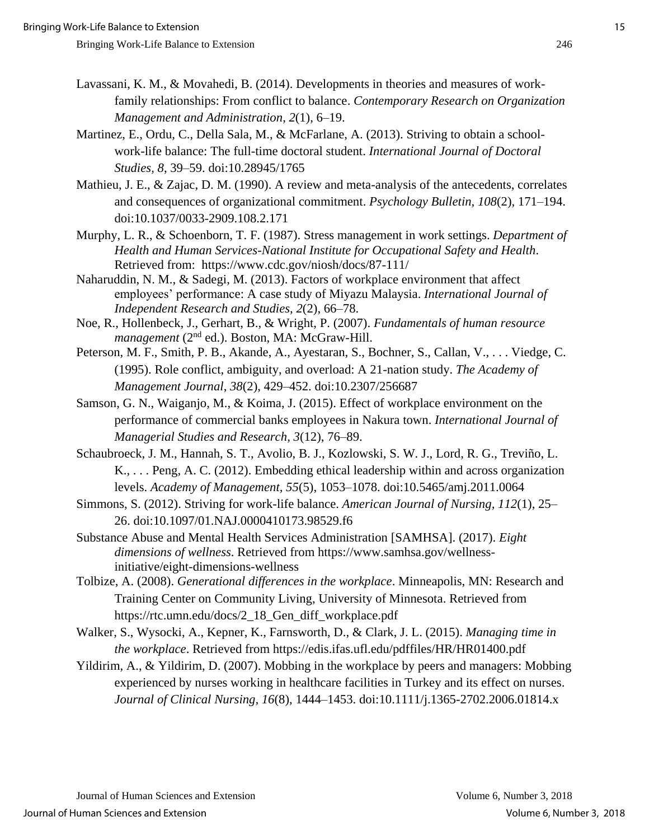- Lavassani, K. M., & Movahedi, B. (2014). Developments in theories and measures of workfamily relationships: From conflict to balance. *Contemporary Research on Organization Management and Administration*, *2*(1), 6–19.
- Martinez, E., Ordu, C., Della Sala, M., & McFarlane, A. (2013). Striving to obtain a schoolwork-life balance: The full-time doctoral student. *International Journal of Doctoral Studies, 8*, 39–59. doi:10.28945/1765
- Mathieu, J. E., & Zajac, D. M. (1990). A review and meta-analysis of the antecedents, correlates and consequences of organizational commitment. *Psychology Bulletin, 108*(2), 171–194. doi:10.1037/0033-2909.108.2.171
- Murphy, L. R., & Schoenborn, T. F. (1987). Stress management in work settings. *Department of Health and Human Services-National Institute for Occupational Safety and Health*. Retrieved from: https://www.cdc.gov/niosh/docs/87-111/
- Naharuddin, N. M., & Sadegi, M. (2013). Factors of workplace environment that affect employees' performance: A case study of Miyazu Malaysia. *International Journal of Independent Research and Studies, 2*(2), 66–78.
- Noe, R., Hollenbeck, J., Gerhart, B., & Wright, P. (2007). *Fundamentals of human resource*  management (2<sup>nd</sup> ed.). Boston, MA: McGraw-Hill.
- Peterson, M. F., Smith, P. B., Akande, A., Ayestaran, S., Bochner, S., Callan, V., . . . Viedge, C. (1995). Role conflict, ambiguity, and overload: A 21-nation study. *The Academy of Management Journal*, *38*(2), 429–452. doi:10.2307/256687
- Samson, G. N., Waiganjo, M., & Koima, J. (2015). Effect of workplace environment on the performance of commercial banks employees in Nakura town. *International Journal of Managerial Studies and Research, 3*(12), 76–89.
- Schaubroeck, J. M., Hannah, S. T., Avolio, B. J., Kozlowski, S. W. J., Lord, R. G., Treviño, L. K., . . . Peng, A. C. (2012). Embedding ethical leadership within and across organization levels. *Academy of Management, 55*(5), 1053–1078. doi:10.5465/amj.2011.0064
- Simmons, S. (2012). Striving for work-life balance. *American Journal of Nursing, 112*(1), 25– 26. doi:10.1097/01.NAJ.0000410173.98529.f6
- Substance Abuse and Mental Health Services Administration [SAMHSA]. (2017). *Eight dimensions of wellness*. Retrieved from https://www.samhsa.gov/wellnessinitiative/eight-dimensions-wellness
- Tolbize, A. (2008). *Generational differences in the workplace*. Minneapolis, MN: Research and Training Center on Community Living, University of Minnesota. Retrieved from https://rtc.umn.edu/docs/2\_18\_Gen\_diff\_workplace.pdf
- Walker, S., Wysocki, A., Kepner, K., Farnsworth, D., & Clark, J. L. (2015). *Managing time in the workplace*. Retrieved from https://edis.ifas.ufl.edu/pdffiles/HR/HR01400.pdf
- Yildirim, A., & Yildirim, D. (2007). Mobbing in the workplace by peers and managers: Mobbing experienced by nurses working in healthcare facilities in Turkey and its effect on nurses. *Journal of Clinical Nursing, 16*(8), 1444–1453. doi:10.1111/j.1365-2702.2006.01814.x